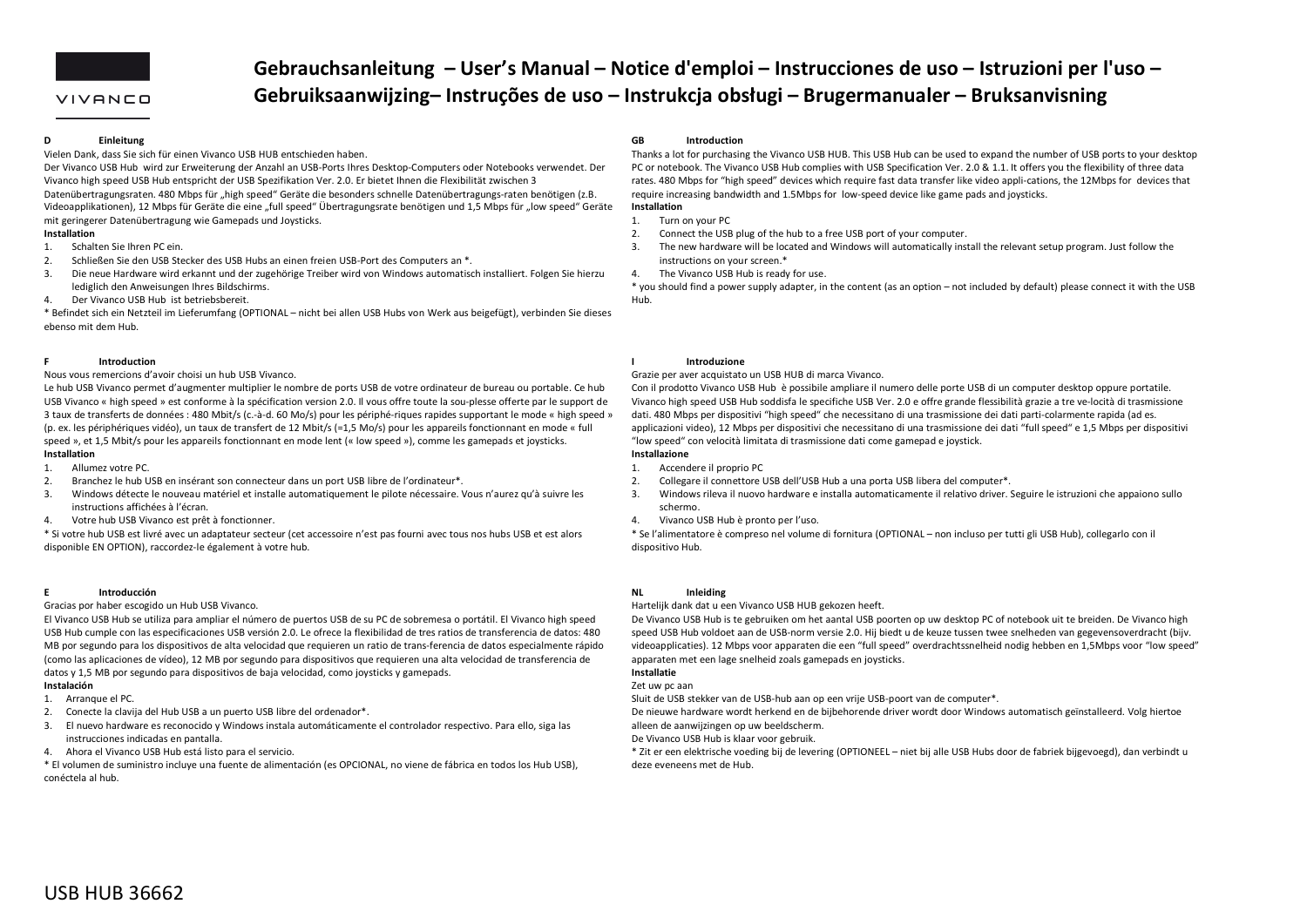

# VIVANCO

# **Gebrauchsanleitung – User's Manual – Notice d'emploi – Instrucciones de uso – Istruzioni per l'uso – Gebruiksaanwijzing– Instruções de uso – Instrukcja obsługi – Brugermanualer – Bruksanvisning**

### **DEinleitung**

Vielen Dank, dass Sie sich für einen Vivanco USB HUB entschieden haben.

Der Vivanco USB Hub wird zur Erweiterung der Anzahl an USB‐Ports Ihres Desktop‐Computers oder Notebooks verwendet. Der Vivanco high speed USB Hub entspricht der USB Spezifikation Ver. 2.0. Er bietet Ihnen die Flexibilität zwischen 3

Datenübertragungsraten. 480 Mbps für "high speed" Geräte die besonders schnelle Datenübertragungs-raten benötigen (z.B. Videoapplikationen), 12 Mbps für Geräte die eine "full speed" Übertragungsrate benötigen und 1,5 Mbps für "low speed" Geräte mit geringerer Datenübertragung wie Gamepads und Joysticks.

# **Installation**

- 1.Schalten Sie Ihren PC ein.
- 2.Schließen Sie den USB Stecker des USB Hubs an einen freien USB‐Port des Computers an \*.
- 3. Die neue Hardware wird erkannt und der zugehörige Treiber wird von Windows automatisch installiert. Folgen Sie hierzu lediglich den Anweisungen Ihres Bildschirms.
- 4.Der Vivanco USB Hub ist betriebsbereit.

\* Befindet sich ein Netzteil im Lieferumfang (OPTIONAL – nicht bei allen USB Hubs von Werk aus beigefügt), verbinden Sie dieses ebenso mit dem Hub.

### **FIntroduction**

## Nous vous remercions d'avoir choisi un hub USB Vivanco.

Le hub USB Vivanco permet d'augmenter multiplier le nombre de ports USB de votre ordinateur de bureau ou portable. Ce hub USB Vivanco « high speed » est conforme à la spécification version 2.0. Il vous offre toute la sou‐plesse offerte par le support de 3 taux de transferts de données : 480 Mbit/s (c.‐à‐d. 60 Mo/s) pour les périphé‐riques rapides supportant le mode « high speed » (p. ex. les périphériques vidéo), un taux de transfert de 12 Mbit/s (=1,5 Mo/s) pour les appareils fonctionnant en mode « full speed », et 1,5 Mbit/s pour les appareils fonctionnant en mode lent (« low speed »), comme les gamepads et joysticks. **Installation**

- 1.Allumez votre PC.
- 2.Branchez le hub USB en insérant son connecteur dans un port USB libre de l'ordinateur\*.
- 3. Windows détecte le nouveau matériel et installe automatiquement le pilote nécessaire. Vous <sup>n</sup>'aurez qu'à suivre les instructions affichées à l'écran.
- 4. Votre hub USB Vivanco est prêt à fonctionner.

\* Si votre hub USB est livré avec un adaptateur secteur (cet accessoire <sup>n</sup>'est pas fourni avec tous nos hubs USB et est alors disponible EN OPTION), raccordez‐le également à votre hub.

### **EIntroducción**

## Gracias por haber escogido un Hub USB Vivanco.

El Vivanco USB Hub se utiliza para ampliar el número de puertos USB de su PC de sobremesa <sup>o</sup> portátil. El Vivanco high speed USB Hub cumple con las especificaciones USB versión 2.0. Le ofrece la flexibilidad de tres ratios de transferencia de datos: 480 MB por segundo para los dispositivos de alta velocidad que requieren un ratio de trans‐ferencia de datos especialmente rápido (como las aplicaciones de vídeo), 12 MB por segundo para dispositivos que requieren una alta velocidad de transferencia de datos y 1,5 MB por segundo para dispositivos de baja velocidad, como joysticks y gamepads.

# **Instalación**

- 1. Arranque el PC.
- 2. Conecte la clavija del Hub USB <sup>a</sup> un puerto USB libre del ordenador\*.
- 3. El nuevo hardware es reconocido y Windows instala automáticamente el controlador respectivo. Para ello, siga las instrucciones indicadas en pantalla.
- 4. Ahora el Vivanco USB Hub está listo para el servicio.

\* El volumen de suministro incluye una fuente de alimentación (es OPCIONAL, no viene de fábrica en todos los Hub USB), conéctela al hub.

### **GBIntroduction**

Thanks a lot for purchasing the Vivanco USB HUB. This USB Hub can be used to expand the number of USB ports to your desktop PC or notebook. The Vivanco USB Hub complies with USB Specification Ver. 2.0 & 1.1. It offers you the flexibility of three data rates. 480 Mbps for "high speed" devices which require fast data transfer like video appli‐cations, the 12Mbps for devices that require increasing bandwidth and 1.5Mbps for low‐speed device like game pads and joysticks. **Installation**

- 1.Turn on your PC
- $2^{\circ}$ Connect the USB plug of the hub to <sup>a</sup> free USB port of your computer.
- 3. The new hardware will be located and Windows will automatically install the relevant setup program. Just follow the instructions on your screen.\*
- 4.The Vivanco USB Hub is ready for use.

\* you should find <sup>a</sup> power supply adapter, in the content (as an option – not included by default) please connect it with the USB Hub.

# **Introduzione**

## Grazie per aver acquistato un USB HUB di marca Vivanco.

Con il prodotto Vivanco USB Hub è possibile ampliare il numero delle porte USB di un computer desktop oppure portatile. Vivanco high speed USB Hub soddisfa le specifiche USB Ver. 2.0 <sup>e</sup> offre grande flessibilità grazie <sup>a</sup> tre ve‐locità di trasmissione dati. 480 Mbps per dispositivi "high speed" che necessitano di una trasmissione dei dati parti‐colarmente rapida (ad es. applicazioni video), 12 Mbps per dispositivi che necessitano di una trasmissione dei dati "full speed" <sup>e</sup> 1,5 Mbps per dispositivi "low speed" con velocità limitata di trasmissione dati come gamepad <sup>e</sup> joystick.

# **Installazione**

**I**

- 1.Accendere il proprio PC
- 2.Collegare il connettore USB dell'USB Hub <sup>a</sup> una porta USB libera del computer\*.
- 3. Windows rileva il nuovo hardware <sup>e</sup> installa automaticamente il relativo driver. Seguire le istruzioni che appaiono sullo schermo.
- 4.Vivanco USB Hub è pronto per l'uso.

\* Se l'alimentatore è compreso nel volume di fornitura (OPTIONAL – non incluso per tutti gli USB Hub), collegarlo con il dispositivo Hub.

### **NLInleiding**

Hartelijk dank dat <sup>u</sup> een Vivanco USB HUB gekozen heeft.

De Vivanco USB Hub is te gebruiken om het aantal USB poorten op uw desktop PC of notebook uit te breiden. De Vivanco high speed USB Hub voldoet aan de USB‐norm versie 2.0. Hij biedt <sup>u</sup> de keuze tussen twee snelheden van gegevensoverdracht (bijv. videoapplicaties). 12 Mbps voor apparaten die een "full speed" overdrachtssnelheid nodig hebben en 1,5Mbps voor "low speed" apparaten met een lage snelheid zoals gamepads en joysticks.

### **Installatie**Zet uw pc aan

Sluit de USB stekker van de USB‐hub aan op een vrije USB‐poort van de computer\*.

De nieuwe hardware wordt herkend en de bijbehorende driver wordt door Windows automatisch geïnstalleerd. Volg hiertoe alleen de aanwijzingen op uw beeldscherm.

De Vivanco USB Hub is klaar voor gebruik.

\* Zit er een elektrische voeding bij de levering (OPTIONEEL – niet bij alle USB Hubs door de fabriek bijgevoegd), dan verbindt <sup>u</sup> deze eveneens met de Hub.